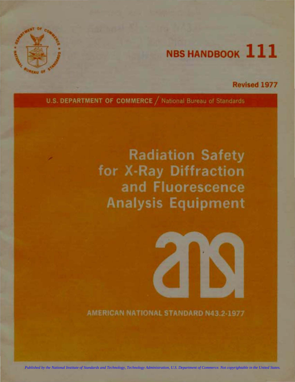

# **NBS HANDBOOK 111**

## Revised 1977

U.S. DEPARTMENT OF COMMERCE / National Bureau of Standards

## **Radiation Safety** for X-Ray Diffraction and Fluorescence **Analysis Equipment**



AMERICAN NATIONAL STANDARD N43.2-1977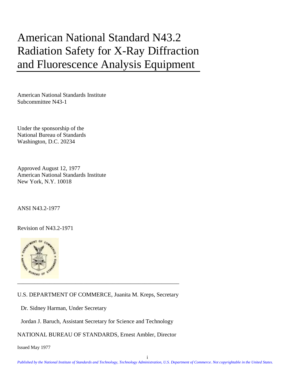## American National Standard N43.2 Radiation Safety for X-Ray Diffraction and Fluorescence Analysis Equipment

American National Standards Institute Subcommittee N43-1

Under the sponsorship of the National Bureau of Standards Washington, D.C. 20234

Approved August 12, 1977 American National Standards Institute New York, N.Y. 10018

ANSI N43.2-1977

Revision of N43.2-1971



U.S. DEPARTMENT OF COMMERCE, Juanita M. Kreps, Secretary

Dr. Sidney Harman, Under Secretary

Jordan J. Baruch, Assistant Secretary for Science and Technology

NATIONAL BUREAU OF STANDARDS, Ernest Ambler, Director

Issued May 1977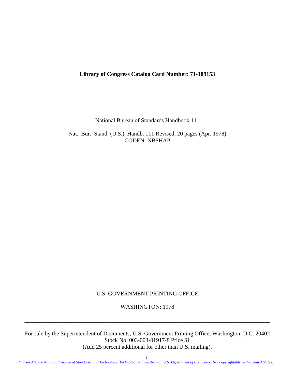#### **Library of Congress Catalog Card Number: 71-189153**

National Bureau of Standards Handbook 111

Nat. Bur. Stand. (U.S.), Handb. 111 Revised, 20 pages (Apr. 1978) CODEN: NBSHAP

U.S. GOVERNMENT PRINTING OFFICE

WASHINGTON: 1978

\_\_\_\_\_\_\_\_\_\_\_\_\_\_\_\_\_\_\_\_\_\_\_\_\_\_\_\_\_\_\_\_\_\_\_\_\_\_\_\_\_\_\_\_\_\_\_\_\_\_\_\_\_\_\_\_\_\_\_\_\_\_\_\_\_\_\_\_\_\_\_\_\_\_\_\_\_\_\_\_\_\_\_\_\_

For sale by the Superintendent of Documents, U.S. Government Printing Office, Washington, D.C. 20402 Stock No. 003-003-01917-8 Price \$1

(Add 25 percent additional for other than U.S. mailing).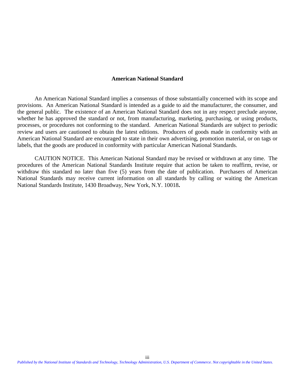#### **American National Standard**

An American National Standard implies a consensus of those substantially concerned with its scope and provisions. An American National Standard is intended as a guide to aid the manufacturer, the consumer, and the general public. The existence of an American National Standard does not in any respect preclude anyone, whether he has approved the standard or not, from manufacturing, marketing, purchasing, or using products, processes, or procedures not conforming to the standard. American National Standards are subject to periodic review and users are cautioned to obtain the latest editions. Producers of goods made in conformity with an American National Standard are encouraged to state in their own advertising, promotion material, or on tags or labels, that the goods are produced in conformity with particular American National Standards.

CAUTION NOTICE. This American National Standard may be revised or withdrawn at any time. The procedures of the American National Standards Institute require that action be taken to reaffirm, revise, or withdraw this standard no later than five (5) years from the date of publication. Purchasers of American National Standards may receive current information on all standards by calling or waiting the American National Standards Institute, 1430 Broadway, New York, N.Y. 10018**.**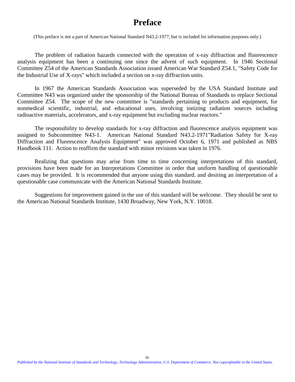## **Preface**

<span id="page-4-0"></span>(This preface is not a part of American National Standard N43.2-1977, but is included for information purposes only.)

The problem of radiation hazards connected with the operation of x-ray diffraction and fluorescence analysis equipment has been a continuing one since the advent of such equipment. In 1946 Sectional Committee Z54 of the American Standards Association issued American War Standard Z54.1, "Safety Code for the Industrial Use of X-rays" which included a section on x-ray diffraction units.

In 1967 the American Standards Association was superseded by the USA Standard Institute and Committee N43 was organized under the sponsorship of the National Bureau of Standards to replace Sectional Committee Z54. The scope of the new committee is "standards pertaining to products and equipment, for nonmedical scientific, industrial, and educational uses, involving ionizing radiation sources including radioactive materials, accelerators, and x-ray equipment but excluding nuclear reactors."

The responsibility to develop standards for x-ray diffraction and fluorescence analysis equipment was assigned to Subcommittee N43-1. American National Standard N43.2-1971"Radiation Safety for X-ray Diffraction and Fluorescence Analysis Equipment" was approved October 6, 1971 and published as NBS Handbook 111. Action to reaffirm the standard with minor revisions was taken in 1976.

Realizing that questions may arise from time to time concerning interpretations of this standard, provisions have been made for an Interpretations Committee in order that uniform handling of questionable cases may be provided. It is recommended that anyone using this standard. and desiring an interpretation of a questionable case communicate with the American National Standards Institute.

Suggestions for improvement gained in the use of this standard will be welcome. They should be sent to the American National Standards Institute, 1430 Broadway, New York, N.Y. 10018.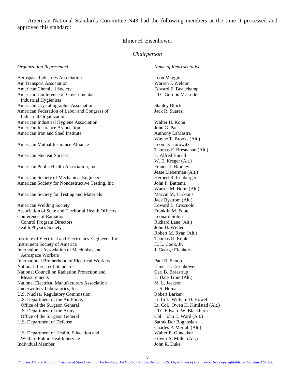American National Standards Committee N43 had the following members at the time it processed and approved this standard:

#### Elmer H. Eisenhower

#### *Chairperson*

*Organization Represented*

Aerospace Industries Association Air Transport Association American Chemical Society American Conference of Governmental Industrial Hygienists American Crystallographic Association American Federation of Labor and Congress of Industrial Organizations American Industrial Hygiene Association American Insurance Association American Iron and Steel Institute

American Mutual Insurance Alliance

American Nuclear Society

American Public Health Association, Inc.

American Society of Mechanical Engineers American Society for Nondestructive Testing, Inc.

American Society for Testing and Materials

American Welding Society Association of State and Territorial Health Officers Conference of Radiation Control Program Directors Health Physics Society

Institute of Electrical and Electronics Engineers, Inc. Instrument Society of America International Association of Machinists and Aerospace Workers International Brotherhood of Electrical Workers National Bureau of Standards National Council on Radiation Protection and Measurements National Electrical Manufacturers Association Underwriters' Laboratories, Inc. U.S. Nuclear Regulatory Commission U.S. Department of the Air Force, Office of the Surgeon General U.S. Department of the Army, Office of the Surgeon General U.S. Department of Defense U.S. Department of Health, Education and

Welfare-Public Health Service

Individual Member

*Name of Representative*

Leon Maggio Warren J. Weldon Edward E. Beauchamp LTC Gordon M. Lodde

Stanley Block Jack R. Suarez

Walter H. Konn

John G. Pack Anthony LaMastra Wayne T. Brooks (Alt.) Leon D. Horowitz Thomas F. Bresnahan (Alt.) E. Alfred Burrill W. E. Kreger (Alt.) Francis J. Bradley Jesse Lieberman (Alt.) Herbert R. Isenburger John P. Battema Warren M. Holm (Alt.) Marvin M. Turkanis Jack Bystrom (Alt.) Edward L. Criscuolo Franklin M. Foote Leonard Solon Richard Lane (Alt.) John H. Weiler Robert M. Ryan (Alt.) Thomas R. Kohler H. L. Cook, Jr. J. George Eichhorn Paul R. Shoop Elmer H. Eisenhower Carl B. Braestrup E. Dale Trout (Alt.) M. L. Jackson L. S. Homa Robert Barker Lt. Col. William D. Howell Lt. Col. Owen H. Kittilstad (Alt.) LTC Edward W. Blackburn Col. John E. Ward (Alt.) Satrak Der Boghosian Charles P. Merhib (Alt.) Walter E. Gundaker Edwin A. Miller (Alt.) John R. Duke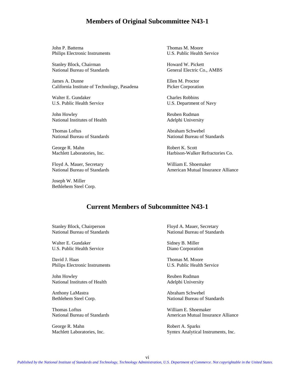#### **Members of Original Subcommittee N43-1**

John P. Battema Thomas M. Moore Philips Electronic Instruments U.S. Public Health Service

Stanley Block, Chairman Howard W. Pickett

James A. Dunne Ellen M. Proctor California Institute of Technology, Pasadena Picker Corporation

Walter E. Gundaker Charles Robbins U.S. Public Health Service U.S. Department of Navy

John Howley **Reuben Rudman** National Institutes of Health Adelphi University

Thomas Loftus **Abraham Schwebel** 

George R. Mahn Robert K. Scott

Floyd A. Mauer, Secretary **Nights, 2008** William E. Shoemaker<br>National Bureau of Standards **Multiple American Mutual Insur** 

Joseph W. Miller Bethlehem Steel Corp.

National Bureau of Standards General Electric Co., AMBS

National Bureau of Standards National Bureau of Standards

Machlett Laboratories, Inc. Harbison-Walker Refractories Co.

American Mutual Insurance Alliance

## **Current Members of Subcommittee N43-1**

Stanley Block, Chairperson Floyd A. Mauer, Secretary

Walter E. Gundaker Sidney B. Miller U.S. Public Health Service Diano Corporation

David J. Haas Thomas M. Moore Philips Electronic Instruments U.S. Public Health Service

John Howley **Reuben Rudman** National Institutes of Health Adelphi University

Anthony LaMastra **Abraham Schwebel** 

Thomas Loftus William E. Shoemaker

George R. Mahn Robert A. Sparks

National Bureau of Standards National Bureau of Standards

Bethlehem Steel Corp. National Bureau of Standards

National Bureau of Standards **American Mutual Insurance Alliance** Alliance

Machlett Laboratories, Inc. Syntex Analytical Instruments, Inc.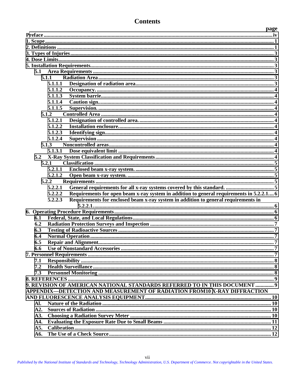|     | 5.1.1.5                                                                                             |  |
|-----|-----------------------------------------------------------------------------------------------------|--|
|     | 5.1.2                                                                                               |  |
|     | 5.1.2.1                                                                                             |  |
|     | 5.1.2.2                                                                                             |  |
|     | 5.1.2.3                                                                                             |  |
|     | 5.1.2.4                                                                                             |  |
|     | 5.1.3                                                                                               |  |
|     | 5.1.3.1                                                                                             |  |
| 5.2 |                                                                                                     |  |
|     | 5.2.1                                                                                               |  |
|     | 5.2.1.1                                                                                             |  |
|     | 5.2.1.2                                                                                             |  |
|     | 5.2.2                                                                                               |  |
|     | 5.2.2.1                                                                                             |  |
|     | 5.2.2.2<br>Requirements for open beam x-ray system in addition to general requirements in 5.2.2.1 6 |  |
|     | Requirements for enclosed beam x-ray system in addition to general requirements in<br>5.2.2.3       |  |
|     |                                                                                                     |  |
|     |                                                                                                     |  |
| 6.1 |                                                                                                     |  |
| 6.2 |                                                                                                     |  |
| 6.3 |                                                                                                     |  |
| 6.4 |                                                                                                     |  |
| 6.5 |                                                                                                     |  |
| 6.6 |                                                                                                     |  |
|     |                                                                                                     |  |
| 7.1 |                                                                                                     |  |
| 7.2 |                                                                                                     |  |
| 7.3 |                                                                                                     |  |
|     |                                                                                                     |  |
|     | 9. REVISION OF AMERICAN NATIONAL STANDARDS REFERRED TO IN THIS DOCUMENT  9                          |  |
|     | APPENDIX-DETECTION AND MEASUREMENT OF RADIATION FROM10 X-RAY DIFFRACTION                            |  |
|     |                                                                                                     |  |
| Al. |                                                                                                     |  |
| A2. |                                                                                                     |  |
| A3. |                                                                                                     |  |
| A4. |                                                                                                     |  |
| A5. |                                                                                                     |  |
| A6. |                                                                                                     |  |
|     |                                                                                                     |  |

## **Contents**

 $5.1$ 

5.1.1

5.1.1.1 5.1.1.2

5.1.1.3

5.1.1.4

page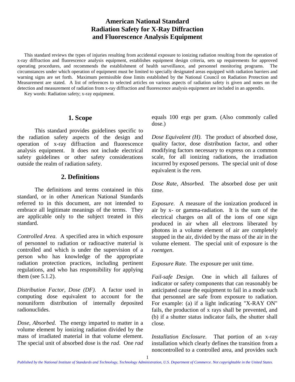## **American National Standard Radiation Safety for X-Ray Diffraction and Fluorescence Analysis Equipment**

<span id="page-8-0"></span>This standard reviews the types of injuries resulting from accidental exposure to ionizing radiation resulting from the operation of x-ray diffraction and fluorescence analysis equipment, establishes equipment design criteria, sets up requirements for approved operating procedures, and recommends the establishment of health surveillance, and personnel monitoring programs. The circumstances under which operation of equipment must be limited to specially designated areas equipped with radiation barriers and warning signs are set forth. Maximum permissible dose limits established by the National Council on Radiation Protection and Measurement are stated. A list of references to selected articles on various aspects of radiation safety is given and notes on the detection and measurement of radiation from x-ray diffraction and fluorescence analysis equipment are included in an appendix.

Key words: Radiation safety; x-ray equipment.

#### **1. Scope**

This standard provides guidelines specific to the radiation safety aspects of the design and operation of x-ray diffraction and fluorescence analysis equipment. It does not include electrical safety guidelines or other safety considerations outside the realm of radiation safety.

## **2. Definitions**

The definitions and terms contained in this standard, or in other American National Standards referred to in this document, are not intended to embrace all legitimate meanings of the terms. They are applicable only to the subject treated in this standard.

*Controlled Area*. A specified area in which exposure of personnel to radiation or radioactive material is controlled and which is under the supervision of a person who has knowledge of the appropriate radiation protection practices, including pertinent regulations, and who has responsibility for applying them (see 5.1.2).

*Distribution Factor, Dose (DF).* A factor used in computing dose equivalent to account for the nonuniform distribution of internally deposited radionuclides.

*Dose, Absorbed.* The energy imparted to matter in a volume element by ionizing radiation divided by the mass of irradiated material in that volume element. The special unit of absorbed dose is the *rad*. One *rad*

equals 100 ergs per gram. (Also commonly called dose.)

*Dose Equivalent (H).* The product of absorbed dose, quality factor, dose distribution factor, and other modifying factors necessary to express on a common scale, for all ionizing radiations, the irradiation incurred by exposed persons. The special unit of dose equivalent is the *rem*.

*Dose Rate, Absorbed.* The absorbed dose per unit time.

*Exposure.* A measure of the ionization produced in air by x- or gamma-radiation. It is the sum of the electrical charges on all of the ions of one sign produced in air when all electrons liberated by photons in a volume element of air are completely stopped in the air, divided by the mass of the air in the volume element. The special unit of exposure is the *roentgen*.

*Exposure Rate.* The exposure per unit time.

*Fail-safe Design.* One in which all failures of indicator or safety components that can reasonably be anticipated cause the equipment to fail in a mode such that personnel are safe from exposure to radiation. For example: (a) if a light indicating "X-RAY ON" fails, the production of x rays shall be prevented, and (b) if a shutter status indicator fails, the shutter shall close.

*Installation Enclosure.* That portion of an x-ray installation which clearly defines the transition from a noncontrolled to a controlled area, and provides such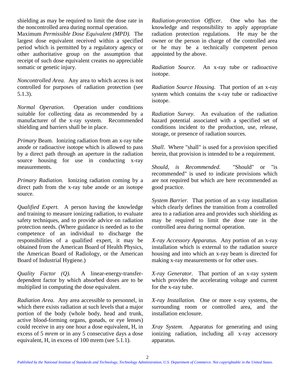shielding as may be required to limit the dose rate in the noncontrolled area during normal operation.

Maximum *Permissible Dose Equivalent (MPD).* The largest dose equivalent received within a specified period which is permitted by a regulatory agency or other authoritative group on the assumption that receipt of such dose equivalent creates no appreciable somatic or genetic injury.

*Noncontrolled Area.* Any area to which access is not controlled for purposes of radiation protection (see 5.1.3).

*Normal Operation.* Operation under conditions suitable for collecting data as recommended by a manufacturer of the x-ray system. Recommended shielding and barriers shall be in place.

*Primary* Beam. Ionizing radiation from an x-ray tube anode or radioactive isotope which is allowed to pass by a direct path through an aperture in the radiation source housing for use in conducting x-ray measurements.

*Primary Radiation.* Ionizing radiation coming by a direct path from the x-ray tube anode or an isotope source.

*Qualified Expert.* A person having the knowledge and training to measure ionizing radiation, to evaluate safety techniques, and to provide advice on radiation protection needs. (Where guidance is needed as to the competence of an individual to discharge the responsibilities of a qualified expert, it may be obtained from the American Board of Health Physics, the American Board of Radiology, or the American Board of Industrial Hygiene.)

*Quality Factor (Q).* A linear-energy-transferdependent factor by which absorbed doses are to be multiplied in computing the dose equivalent.

*Radiation Area.* Any area accessible to personnel, in which there exists radiation at such levels that a major portion of the body (whole body, head and trunk, active blood-forming organs, gonads, or eye lenses) could receive in any one hour a dose equivalent, H, in excess of 5 *mrem* or in any 5 consecutive days a dose equivalent, H, in excess of 100 mrem (see 5.1.1).

*Radiation-protection Officer.* One who has the knowledge and responsibility to apply appropriate radiation protection regulations. He may be the owner or the person in charge of the controlled area or he may be a technically competent person appointed by the above.

*Radiation Source.* An x-ray tube or radioactive isotope.

*Radiation Source Housing.* That portion of an x-ray system which contains the x-ray tube or radioactive isotope.

*Radiation Survey.* An evaluation of the radiation hazard potential associated with a specified set of conditions incident to the production, use, release, storage, or presence of radiation sources.

*Shall*. Where "shall" is used for a provision specified herein, that provision is intended to be a requirement.

*Should, is Recommended.* "Should" or "is recommended" is used to indicate provisions which are not required but which are here recommended as good practice.

*System Barrier.* That portion of an x-ray installation which clearly defines the transition from a controlled area to a radiation area and provides such shielding as may be required to limit the dose rate in the controlled area during normal operation.

*X-ray Accessory Apparatus.* Any portion of an x-ray installation which is external to the radiation source housing and into which an x-ray beam is directed for making x-ray measurements or for other uses.

*X-ray Generator.* That portion of an x-ray system which provides the accelerating voltage and current for the x-ray tube.

*X-ray Installation.* One or more x-ray systems, the surrounding room or controlled area, and the installation enclosure.

*Xray System.* Apparatus for generating and using ionizing radiation, including all x-ray accessory apparatus.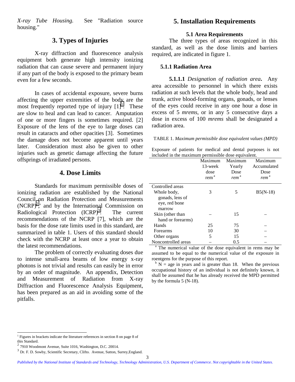<span id="page-10-0"></span>*X-ray Tube Housing.* See "Radiation source housing."

## **3. Types of Injuries**

X-ray diffraction and fluorescence analysis equipment both generate high intensity ionizing radiation that can cause severe and permanent injury if any part of the body is exposed to the primary beam even for a few seconds.

In cases of accidental exposure, severe burns affecting the upper extremities of the body are the most frequently reported type of injury  $\begin{bmatrix}1\end{bmatrix}^1$ . These are slow to heal and can lead to cancer. Amputation of one or more fingers is sometimes required. [2] Exposure of the lens of the eye to large doses can result in cataracts and other opacities [3]. Sometimes the damage does not become apparent until years later. Consideration must also be given to other injuries such as genetic damage affecting the future offsprings of irradiated persons.

## **4. Dose Limits**

Standards for maximum permissible doses of ionizing radiation are established by the National Council on Radiation Protection and Measurements  $(NCRP)^2$ , and by the International Commission on Radiological Protection  $(ICRP)^3$ . The current recommendations of the NCRP [7], which are the basis for the dose rate limits used in this standard, are summarized in table 1. Users of this standard should check with the NCRP at least once a year to obtain the latest recommendations.

The problem of correctly evaluating doses due to intense small-area beams of low energy x-ray photons is not trivial and results can easily be in error by an order of magnitude. An appendix, Detection and Measurement of Radiation from X-ray Diffraction and Fluorescence Analysis Equipment, has been prepared as an aid in avoiding some of the pitfalls.

### **5. Installation Requirements**

#### **5.1 Area Requirements**

The three types of areas recognized in this standard, as well as the dose limits and barriers required, are indicated in figure 1.

#### **5.1.1 Radiation Area**

**5.1.1.1** *Designation of radiation area***.** Any area accessible to personnel in which there exists radiation at such levels that the whole body, head and trunk, active blood-forming organs, gonads, or lenses of the eyes could receive in any one hour a dose in excess of 5 *mrems*, or in any 5 consecutive days a dose in excess of 100 *mrems* shall be designated a radiation area.

#### TABLE 1. *Maximum permissible dose equivalent values (MPD)*

Exposure of patients for medical and dental purposes is not included in the maximum permissible dose equivalent.

|                     | Maximum          | Maximum          | Maximum          |
|---------------------|------------------|------------------|------------------|
|                     | 13-week          | Yearly           | Accumulated      |
|                     | dose             | Dose             | Dose             |
|                     | rem <sup>a</sup> | rem <sup>a</sup> | rem <sup>a</sup> |
| Controlled areas    |                  |                  |                  |
| Whole body,         | 3                | 5                | $B5(N-18)$       |
| gonads, lens of     |                  |                  |                  |
| eye, red bone       |                  |                  |                  |
| marrow              |                  |                  |                  |
| Skin (other than    |                  | 15               |                  |
| hand or forearms)   |                  |                  |                  |
| Hands               | 25               | 75               |                  |
| Forearms            | 10               | 30               |                  |
| Other organs        | 5                | 15               |                  |
| Noncontrolled areas |                  | 0.5              |                  |

<sup>a</sup> The numerical value of the dose equivalent in rems may be assumed to be equal to the numerical value of the exposure in roentgens for the purpose of this report.

 $b$  N = age in years and is greater than 18. When the previous occupational history of an individual is not definitely known, it shall be assumed that he has already received the MPD permitted by the formula 5 (N-18).

 1 Figures in brackets indicate the literature references in section 8 on page 8 of this Standard.

<sup>2</sup> 7910 Woodmont Avenue, Suite 1016, Washington, D.C. 20014.

<sup>3</sup> Dr. F. D. Sowby, Scientific Secretary, Clifto. Avenue, Sutton, Surrey,England.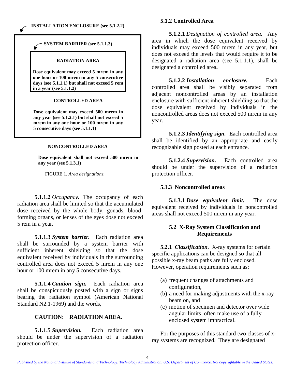#### <span id="page-11-0"></span>**INSTALLATION ENCLOSURE (see 5.1.2.2)**

#### **SYSTEM BARRIER (see 5.1.1.3)**

#### **RADIATION AREA**

**Dose equivalent may exceed 5 mrem in any one hour or 100 mrem in any 5 consecutive days (see 5.1.1.1) but shall not exceed 5 rem in a year (see 5.1.1.2)**

#### **CONTROLLED AREA**

**Dose equivalent may exceed 500 mrem in any year (see 5.1.2.1) but shall not exceed 5 mrem in any one hour or 100 mrem in any 5 consecutive days (see 5.1.1.1)**

#### **NONCONTROLLED AREA**

**Dose equivalent shall not exceed 500 mrem in any year (see 5.1.3.1)**

FIGURE 1. *Area designations.*

**5.1.1.2** *Occupancy***.** The occupancy of each radiation area shall be limited so that the accumulated dose received by the whole body, gonads, bloodforming organs, or lenses of the eyes dose not exceed 5 rem in a year.

**5.1.1.3** *System barrier.* Each radiation area shall be surrounded by a system barrier with sufficient inherent shielding so that the dose equivalent received by individuals in the surrounding controlled area does not exceed 5 mrem in any one hour or 100 mrem in any 5 consecutive days.

**5.1.1.4** *Caution sign.* Each radiation area shall be conspicuously posted with a sign or signs bearing the radiation symbol (American National Standard N2.1-1969) and the words,

#### **CAUTION: RADIATION AREA.**

**5.1.1.5** *Supervision.* Each radiation area should be under the supervision of a radiation protection officer.

#### **5.1.2 Controlled Area**

**5.1.2.1** *Designation of controlled area.* Any area in which the dose equivalent received by individuals may exceed 500 mrem in any year, but does not exceed the levels that would require it to be designated a radiation area (see 5.1.1.1), shall be designated a controlled area**.**

**5.1.2.2** *Installation enclosure.* Each controlled area shall be visibly separated from adjacent noncontrolled areas by an installation enclosure with sufficient inherent shielding so that the dose equivalent received by individuals in the noncontrolled areas does not exceed 500 mrem in any year.

**5.1.2.3** *Identifying sign.* Each controlled area shall be identified by an appropriate and easily recognizable sign posted at each entrance.

**5.1.2.4** *Supervision.* Each controlled area should be under the supervision of a radiation protection officer.

#### **5.1.3 Noncontrolled areas**

**5.1.3.1** *Dose equivalent limit.* The dose equivalent received by individuals in noncontrolled areas shall not exceed 500 mrem in any year.

#### **5.2 X-Ray System Classification and Requirements**

**5.2.1** *Classification.* X-ray systems for certain specific applications can be designed so that all possible x-ray beam paths are fully enclosed. However, operation requirements such as:

- (a) frequent changes of attachments and configuration,
- (b) a need for making adjustments with the x-ray beam on, and
- (c) motion of specimen and detector over wide angular limits–often make use of a fully enclosed system impractical.

For the purposes of this standard two classes of xray systems are recognized. They are designated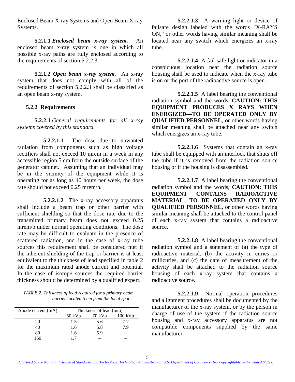<span id="page-12-0"></span>Enclosed Beam X-ray Systems and Open Beam X-ray Systems.

**5.2.1.1** *Enclosed beam x-ray system.* An enclosed beam x-ray system is one in which all possible x-ray paths are fully enclosed according to the requirements of section 5.2.2.3.

**5.2.1.2** *Open beam x-ray system.* An x-ray system that does not comply with all of the requirements of section 5.2.2.3 shall be classified as an open beam x-ray system.

#### **5.2.2 Requirements**

**5.2.2.1** *General requirements for all x-ray systems covered by this standard.*

**5.2.2.1.1** The dose due to unwanted radiation from components such as high voltage rectifiers shall not exceed 10 mrem in a week in any accessible region 5 cm from the outside surface of the generator cabinet. Assuming that an individual may be in the vicinity of the equipment while it is operating for as long as 40 hours per week, the dose rate should not exceed 0.25 mrem/h.

**5.2.2.1.2** The x-ray accessory apparatus shall include a beam trap or other barrier with sufficient shielding so that the dose rate due to the transmitted primary beam does not exceed 0.25 mrem/b under normal operating conditions. The dose rate may be difficult to evaluate in the presence of scattered radiation, and in the case of x-ray tube sources this requirement shall be considered met if the inherent shielding of the trap or barrier is at least equivalent to the thickness of lead specified in table 2 for the maximum rated anode current and potential. In the case of isotope sources the required barrier thickness should be determined by a qualified expert.

*TABLE 2. Thickness of lead required for a primary beam barrier located 5 cm from the focal spot*

| Anode current (mA) | Thickness of lead (mm) |          |                   |
|--------------------|------------------------|----------|-------------------|
|                    | $50 \,\mathrm{kVp}$    | $70$ kVp | $100 \text{ kVp}$ |
| 20                 | 1.5                    | 5.6      | 7.7               |
| 40                 | 1.6                    | 5.8      | 79                |
| 80                 | 1.6                    | 5.9      |                   |
| 160                |                        |          |                   |

**5.2.2.1.3** A warning light or device of failsafe design labeled with the words "X-RAYS ON," or other words having similar meaning shall be located near any switch which energizes an x-ray tube.

**5.2.2.1.4** A fail-safe light or indicator in a conspicuous location near the radiation source housing shall be used to indicate when the x-ray tube is on or the port of the radioactive source is open.

**5.2.2.1.5** A label bearing the conventional radiation symbol and the words, **CAUTION: THIS EQUIPMENT PRODUCES X RAYS WHEN ENERGIZED—TO BE OPERATED ONLY BY QUALIFIED PERSONNEL**, or other words having similar meaning shall be attached near any switch which energizes an x-ray tube.

**5.2.2.1.6** Systems that contain an x-ray tube shall be equipped with an interlock that shuts off the tube if it is removed from the radiation source housing or if the housing is disassembled.

**5.2.2.1.7** A label bearing the conventional radiation symbol and the words, **CAUTION: THIS EQUIPMENT CONTAINS RADIOACTIVE MATERIAL**—**TO BE OPERATED ONLY BY QUALIFIED PERSONNEL**, or other words having similar meaning shall be attached to the control panel of each x-ray system that contains a radioactive source.

**5.2.2.1.8** A label bearing the conventional radiation symbol and a statement of (a) the type of radioactive material, (b) the activity in curies or millicuries, and (c) the date of measurement of the activity shall be attached to the radiation source housing of each x-ray system that contains a radioactive source.

**5.2.2.1.9** Normal operation procedures and alignment procedures shall be documented by the manufacturer of the x-ray system, or by the person in charge of use of the system if the radiation source housing and x-ray accessory apparatus are not compatible components supplied by the same manufacturer.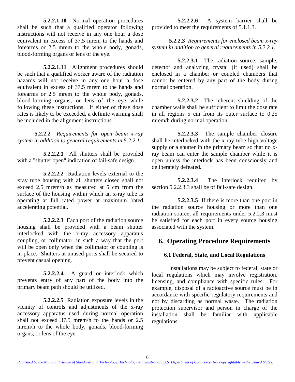<span id="page-13-0"></span>**5.2.2.1.10** Normal operation procedures shall be such that a qualified operator following instructions will not receive in any one hour a dose equivalent in excess of 37.5 mrem to the hands and forearms or 2.5 mrem to the whole body, gonads, blood-forming organs or lens of the eye.

**5.2.2.1.11** Alignment procedures should be such that a qualified worker aware of the radiation hazards will not receive in any one hour a dose equivalent in excess of 37.5 mrem to the hands and forearms or 2.5 mrem to the whole body, gonads, blood-forming organs, or lens of the eye while following these instructions. If either of these dose rates is likely to be exceeded, a definite warning shall be included in the alignment instructions.

**5.2.2.2** *Requirements for open beam x-ray system in addition to general requirements in 5.2.2.1.*

**5.2.2.2.1** All shutters shall be provided with a "shutter open" indication of fail-safe design.

**5.2.2.2.2** Radiation levels external to the xray tube housing with all shutters closed shall not exceed 2.5 mrem/h as measured at 5 cm from the surface of the housing within which an x-ray tube is operating at full rated power at maximum 'rated accelerating potential.

**5.2.2.2.3** Each port of the radiation source housing shall be provided with a beam shutter interlocked with the x-ray accessory apparatus coupling, or collimator, in such a way that the port will be open only when the collimator or coupling is in place. Shutters at unused ports shall be secured to prevent casual opening.

**5.2.2.2.4** A guard or interlock which prevents entry of any part of the body into the primary beam path should be utilized.

**5.2.2.2.5** Radiation exposure levels in the vicinity of controls and adjustments of the x-ray accessory apparatus used during normal operation shall not exceed 37.5 mrem/h to the hands or 2.5 mrem/h to the whole body, gonads, blood-forming organs, or lens of the eye.

**5.2.2.2.6** A system barrier shall be provided to meet the requirements of 5.1.1.3.

**5.2.2.3** *Requirements for enclosed beam x-ray system in addition to general requirements in 5.2.2.1.*

**5.2.2.3.1** The radiation source, sample, detector and analyzing crystal (if used) shall be enclosed in a chamber or coupled chambers that cannot be entered by any part of the body during normal operation.

**5.2.2.3.2** The inherent shielding of the chamber walls shall be sufficient to limit the dose rate in all regions 5 cm from its outer surface to 0.25 mrem/h during normal operation.

**5.2.2.3.3** The sample chamber closure shall he interlocked with the x-ray tube high voltage supply or a shutter in the primary beam so that no xray beam can enter the sample chamber while it is open unless the interlock has been consciously and deliberately defeated.

**5.2.2.3.4** The interlock required by section 5.2.2.3.3 shall be of fail-safe design.

**5.2.2.3.5** If there is more than one port in the radiation source housing or more than one radiation source, all requirements under 5.2.2.3 must be satisfied for each port in every source housing associated with the system.

## **6. Operating Procedure Requirements**

## **6.1 Federal, State, and Local Regulations**

Installations may be subject to federal, state or local regulations which may involve registration, licensing, and compliance with specific rules. For example, disposal of a radioactive source must be in accordance with specific regulatory requirements and not by discarding as normal waste. The radiation protection supervisor and person in charge of the installation shall be familiar with applicable regulations.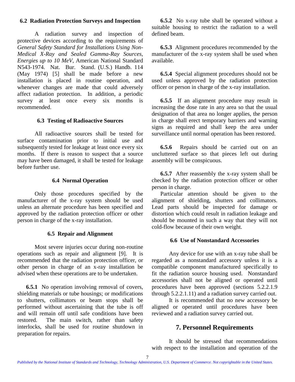#### <span id="page-14-0"></span>**6.2 Radiation Protection Surveys and Inspection**

A radiation survey and inspection of protective devices according to the requirements of *General Safety Standard for Installations Using Non-Medical X-Ray and Sealed Gamma-Ray Sources, Energies up to 10 MeV*, American National Standard N543-1974. Nat. Bur. Stand. (U.S.) Handb. 114 (May 1974) [5] shall be made before a new installation is placed in routine operation, and whenever changes are made that could adversely affect radiation protection. In addition, a periodic survey at least once every six months is recommended.

#### **6.3 Testing of Radioactive Sources**

All radioactive sources shall be tested for surface contamination prior to initial use and subsequently tested for leakage at least once every six months. If there is reason to suspect that a source may have been damaged, it shall be tested for leakage before further use.

#### **6.4 Normal Operation**

Only those procedures specified by the manufacturer of the x-ray system should be used unless an alternate procedure has been specified and approved by the radiation protection officer or other person in charge of the x-ray installation.

#### **6.5 Repair and Alignment**

Most severe injuries occur during non-routine operations such as repair and alignment [9]. It is recommended that the radiation protection officer, or other person in charge of an x-ray installation be advised when these operations are to be undertaken.

**6.5.1** No operation involving removal of covers, shielding materials or tube housings; or modifications to shutters, collimators or beam stops shall be performed without ascertaining that the tube is off and will remain off until safe conditions have been restored. The main switch, rather than safety interlocks, shall be used for routine shutdown in preparation for repairs.

**6.5.2** No x-ray tube shall be operated without a suitable housing to restrict the radiation to a well defined beam.

**6.5.3** Alignment procedures recommended by the manufacturer of the x-ray system shall be used when available.

**6.5.4** Special alignment procedures should not be used unless approved by the radiation protection officer or person in charge of the x-ray installation.

**6.5.5** If an alignment procedure may result in increasing the dose rate in any area so that the usual designation of that area no longer applies, the person in charge shall erect temporary barriers and warning signs as required and shall keep the area under surveillance until normal operation has been restored.

**6.5.6** Repairs should be carried out on an uncluttered surface so that pieces left out during assembly will be conspicuous.

**6.5.7** After reassembly the x-ray system shall be checked by the radiation protection officer or other person in charge.

Particular attention should be given to the alignment of shielding, shutters and collimators. Lead parts should be inspected for damage or distortion which could result in radiation leakage and should be mounted in such a way that they will not cold-flow because of their own weight.

#### **6.6 Use of Nonstandard Accessories**

Any device for use with an x-ray tube shall be regarded as a nonstandard accessory unless it is a compatible component manufactured specifically to fit the radiation source housing used. Nonstandard accessories shall not be aligned or operated until procedures have been approved (sections 5.2.2.1.9 through 5.2.2.1.11) and a radiation survey carried out.

It is recommended that no new accessory be aligned or operated until procedures have been reviewed and a radiation survey carried out.

## **7. Personnel Requirements**

It should be stressed that recommendations with respect to the installation and operation of the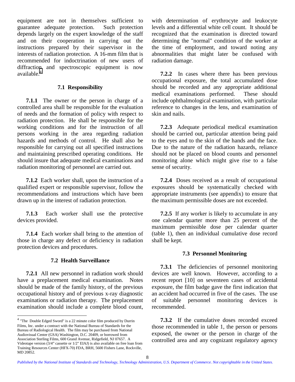<span id="page-15-0"></span>equipment are not in themselves sufficient to guarantee adequate protection. Such protection depends largely on the expert knowledge of the staff and on their cooperation in carrying out the instructions prepared by their supervisor in the interests of radiation protection. A 16-mm film that is recommended for indoctrination of new users of diffraction and spectroscopic equipment is now available.<sup>4</sup>

#### **7.1 Responsibility**

**7.1.1** The owner or the person in charge of a controlled area shall be responsible for the evaluation of needs and the formation of policy with respect to radiation protection. He shall be responsible for the working conditions and for the instruction of all persons working in the area regarding radiation hazards and methods of control. He shall also be responsible for carrying out all specified instructions and maintaining prescribed operating conditions. He should insure that adequate medical examinations and radiation monitoring of personnel are carried out.

**7.1.2** Each worker shall, upon the instruction of a qualified expert or responsible supervisor, follow the recommendations and instructions which have been drawn up in the interest of radiation protection.

**7.1.3** Each worker shall use the protective devices provided.

**7.1.4** Each worker shall bring to the attention of those in charge any defect or deficiency in radiation protection devices and procedures.

#### **7.2 Health Surveillance**

**7.2.1** All new personnel in radiation work should have a preplacement medical examination. Notes should be made of the family history, of the previous occupational history and of previous x-ray diagnostic examinations or radiation therapy. The preplacement examination should include a complete blood count,

l

with determination of erythrocyte and leukocyte levels and a differential white cell count. It should be recognized that the examination is directed toward determining the "normal" condition of the worker at the time of employment, and toward noting any abnormalities that might later be confused with radiation damage.

**7.2.2** In cases where there has been previous occupational exposure, the total accumulated dose should be recorded and any appropriate additional medical examinations performed. These should include ophthalmological examination, with particular reference to changes in the lens, and examination of skin and nails.

**7.2.3** Adequate periodical medical examination should be carried out, particular attention being paid to the eyes and to the skin of the hands and the face. Due to the nature of the radiation hazards, reliance should not be placed on blood counts and personnel monitoring alone which might give rise to a false sense of security.

**7.2.4** Doses received as a result of occupational exposures should be systematically checked with appropriate instruments (see appendix) to ensure that the maximum permissible doses are not exceeded.

**7.2.5** If any worker is likely to accumulate in any one calendar quarter more than 25 percent of the maximum permissible dose per calendar quarter (table 1), then an individual cumulative dose record shall be kept.

#### **7.3 Personnel Monitoring**

**7.3.1** The deficiencies of personnel monitoring devices are well known. However, according to a recent report [10] on seventeen cases of accidental exposure, the film badge gave the first indication that an accident had occurred in five of the cases. The use of suitable personnel monitoring devices is recommended.

**7.3.2** If the cumulative doses recorded exceed those recommended in table 1, the person or persons exposed, the owner or the person in charge of the controlled area and any cognizant regulatory agency

<sup>4</sup> "The Double Edged Sword" is a 22 minute color film produced by Durrin Films, Inc. under a contract with the National Bureau of Standards for the Bureau of Radiological Health. The film may be purchased from National Audiovisual Center (GSA) Washington, D.C. 20409, or borrowed from Association Sterling Films, 600 Grand Avenue, Ridgefield, NJ 07657. A Videotape version (3/4" cassette or 1/2" EIAJ) is also available on free loan from Training Resources Center (HFX-70) FDA, BRH, 5600 Fishers Lane, Rockville, MD 20852.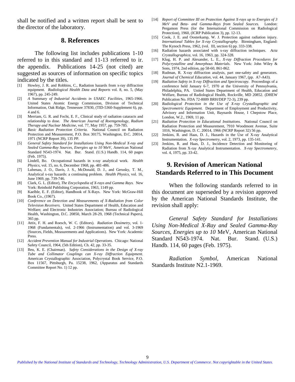<span id="page-16-0"></span>shall be notified and a written report shall be sent to the director of the laboratory.

#### **8. References**

The following list includes publications 1-10 referred to in this standard and 11-13 referred to ir. the appendix. Publications 14-25 (not cited) are suggested as sources of information on specific topics indicated by the titles.

- [1] Howley, J. R. and Robbins, C., Radiation hazards from x-ray diffraction equipment. *Radiological Health Data and Reports* vol. 8, no. 5, (May 1967), pp. 245-249.
- [2] *A* Summary *of Industrial Accidents in USAEC Facilities,* 1965-1966. United States Atomic Energy Commission, Division of Technical Information, Oak Ridge, Tennessee 37830, (TID-5360-Supplement 6), pp. 4 and 6.
- [3] Merriam, G. R. and Focht, E. F., Clinical study of radiation cataracts and relationship to dose. *The American Journal of Roentgenology, Radium Therapy and Nuclear Medicine,* vol. 77, May 1957, pp. 759-785.
- [4] *Basic Radiation Protection Criteria.* National Council on Radiation Protection and Measurement, P.O. Box 30175, Washington, D.C. 20014, 1971 (NCRP Report 39), 135 PP.
- [5] *General Safety Standard for Installations Using Non-Medical X-ray and Sealed Gamma-Ray Sources, Energies up to 10* MeV, American National Standard N543-1974. Nat. Bur. Stand. (U.S.) Handb. 114, 60 pages (Feb. 1975).
- [6] Lindell, Bo. Occupational hazards in x-ray analytical work. *Health Physics,* vol. 15, no. 6, December 1968, pp. 481-486.
- [7] Lubenau, J. O., Davis, J. S., McDonald, D. J., and Gerusky, T. M., Analytical x-ray hazards: a continuing problem. *Health Physics,* vol. 16, June 1969, pp. 739-746.
- [8] Clark, G. L. (Editor), *The Encyclopedia of X-rays and Gamma Rays.* New York: Reinhold Publishing Corporation, 1963, 1149 pp.
- [9] Kaelble, E. F. (Editor), Handbook of X-Rays. New York: McGraw-Hill Book Co., (1967).
- [10] *Conference on Detection and Measurements of X-Radiation from Color Television Receivers.* United States Department of Health, Education and Welfare; and Electronic Industries Association; Bureau of Radiological Health, Washington, D.C. 20850, March 28-29, 1968 (Technical Papers), 365 pp.
- [11] Attix, F. H. and Roesch, W. C. (Editors). *Radiation Dosimetry,* vol. 1- 1968 (Fundamentals), vol. 2-1966 (Instrumentation) and vol. 3-1969 (Sources, Fields, Measurements and Applications). New York: Academic Press.
- [12] *Accident Prevention Manual for Industrial Operations.* Chicago: National Safety Council, 1964, (5th Edition), Ch. 42, pp. 33-35.
- [13] Beu, K. E. (Chairman). *Safety Considerations in the Design of X-ray Tube and Collimator Couplings can X-ray Diffraction Equipment.* American Crystallographic Association, Polycrystal Book Service, P.O. Box 11567, Pittsburgh, Pa. 15238, 1962, (Apparatus and Standards Committee Report No. 1) 12 pp.
- [14] *Report of Committee III on Pratection Against X-rays up to Energies of 3 MeV and Beta- and Gamma-Rays from Sealed Sources.* London: Pergamon Press (for the International Commission on Radiological Protection), 1960, (ICRP Publication 3), pp. 12-13.
- [15] Cook, J. E. and Oosterkamp, W. J. Protection against radiation injury. *International Tables for X-ray Crystallography*. Birmingham, England: The Kynoch Press, 1962, (vol. III, section 6) pp. 333-338.
- [16] Radiation hazards associated with x-ray diffraction techniques. *Acta Crystallographica,* vol. 16, 1963, pp. 324-328.
- [17] Klug, H. P. and Alexander, L. E., *X-ray Diffraction Procedures for Polycrystalline and Amorphous Materials.* New York: John Wiley & Sons, 1974, 2nd edition, pp 58-60, 861-862.
- [18] Rudman, R. X-ray diffraction analysis, part one-safety and generators. *Journal of Chemical Education,* vol. 44, January 1967, (pp. A7-A43).
- [19] *Radiation Safety in X-ray Diffraction and Spectroscopy. Proceedings of a* conference held January 6-7, 1970 at the University of Pennsylvania, Philadelphia, PA. United States Department of Health, Education and Welfare, Bureau of Radiological Health, Rockville, MD 20852. (DHEW Publication No. FDA 72-8009 BRH/DEP 72-3), 239 pp.
- [20] *Radiological Protection in the Use of X-ray Crystallographic and Spectrometric Equipment.* Department of Employment and Productivity, Advisory and Information Unit, Baynards House, I Chepstow Place, London, W.2., 1969, 11 pp.
- [21] *Radiation Protection in Educational Institutions.* National Council on Radiation Protection and Measurement, 7910 Woodmont Avenue, Suite 1016, Washington, D. C. 20014, 1966 (NCRP Report 32) 56 pp.
- [22] Jenkins, R. and Haas, D. J., Hazards in the Use of X-ray Analytical Instrumentation. *X-ray Spectrometry,* vol. 2, 1973, pp. 135-141.
- [23] Jenkins, R. and Haas, D. J., Incidence Detection and Monitoring of Radiation from X-ray Analytical Instrumentation. *X-ray Spectrometery,* vol. 4, 1975, pp. 33-42.

## **9. Revision of American National Standards Referred to in This Document**

When the following standards referred to in this document are superseded by a revision approved by the American National Standards Institute, the revision shall apply:

*General Safety Standard for Installations Using Non-Medical X-Ray and Sealed Gamma-Ray Sources, Energies up to 10* MeV, American National Standard N543-1974. Nat. Bur. Stand. (U.S.) Handb. 114, 60 pages (Feb. 1975).

*Radiation Symbol,* American National Standards Institute N2.1-1969.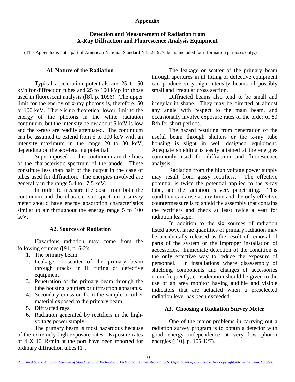#### **Appendix**

#### **Detection and Measurement of Radiation from X-Ray Diffraction and Fluorescence Analysis Equipment**

<span id="page-17-0"></span>(This Appendix is not a part of American National Standard N43.2-1977, but is included for information purposes only.)

#### **Al. Nature of the Radiation**

Typical acceleration potentials are 25 to 50 kVp for diffraction tubes and 25 to 100 kVp for those used in fluorescent analysis ([8], p. 1096). The upper limit for the energy of x-ray photons is, therefore, 50 or 100 keV. There is no theoretical lower limit to the energy of the photons in the white radiation continuum, but the intensity below about 5 keV is low and the x-rays are readily attenuated. The continuum can be assumed to extend from 5 to 100 keV with an intensity maximum in the range 20 to 30 keV, depending on the accelerating potential.

Superimposed on this continuum are the lines of the characteristic spectrum of the anode. These constitute less than half of the output in the case of tubes used for diffraction. The energies involved are generally in the range 5.4 to 17.5 keV.

In order to measure the dose from both the continuum and the characteristic spectrum a survey meter should have energy absorption characteristics similar to air throughout the energy range 5 to 100 keV.

#### **A2. Sources of Radiation**

Hazardous radiation may come from the following sources ([91, p. 6-2):

- 1. The primary beam.
- 2. Leakage or scatter of the primary beam through cracks in ill fitting or defective equipment.
- 3. Penetration of the primary beam through the tube housing, shutters or diffraction apparatus.
- 4. Secondary emission from the sample or other material exposed to the primary beam.
- 5. Diffracted rays.
- 6. Radiation generated by rectifiers in the highvoltage power supply.

The primary beam is most hazardous because of the extremely high exposure rates. Exposure rates of 4 X 10' R/min at the port have been reported for ordinary diffraction tubes [1].

The leakage or scatter of the primary beam through apertures in ill fitting or defective equipment can produce very high intensity beams of possibly small and irregular cross section.

Diffracted beams also tend to be small and irregular in shape. They may be directed at almost any angle with respect to the main beam, and occasionally involve exposure rates of the order of 80 R/h for short periods.

The hazard resulting from penetration of the useful beam through shutters or the x-ray tube housing is slight in well designed equipment. Adequate shielding is easily attained at the energies commonly used for diffraction and fluorescence analysis.

Radiation from the high voltage power supply may result from gassy rectifiers. The effective potential is twice the potential applied to the x-ray tube, and the radiation is very penetrating. This condition can arise at any time and the only effective countermeasure is to shield the assembly that contains the rectifiers and check at least twice a year for radiation leakage.

In addition to the six sources of radiation listed above, large quantities of primary radiation may be accidentally released as the result of removal of parts of the system or the improper installation of accessories. Immediate detection of the condition is the only effective way to reduce the exposure of personnel. In installations where disassembly of shielding components and changes of accessories occur frequently, consideration should be given to the use of an area monitor having audible and visible indicators that are actuated when a preselected radiation level has been exceeded.

#### **A3. Choosing a Radiation Survey Meter**

One of the major problems in carrying out a radiation survey program is to obtain a detector with good energy independence at very low photon energies ([10], p. 105-127).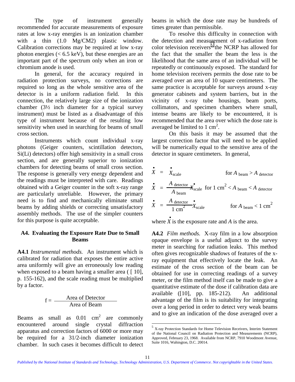<span id="page-18-0"></span>The type of instrument generally recommended for accurate measurements of exposure rates at low x-ray energies is an ionization chamber with a thin  $(1.0 \text{Mg/CM2})$  plastic window. Calibration corrections may be required at low x-ray photon energies ( $< 6.5 \text{ keV}$ ), but these energies are an important part of the spectrum only when an iron or chromium anode is used.

In general, for the accuracy required in radiation protection surveys, no corrections are required so long as the whole sensitive area of the detector is in a uniform radiation field. In this connection, the relatively large size of the ionization chamber (3½ inch diameter for a typical survey instrument) must be listed as a disadvantage of this type of instrument because of the resulting low sensitivity when used in searching for beams of small cross section.

Instruments which count individual x-ray photons (Geiger counters, scintillation detectors, Si(Li) detectors) offer high sensitivity in a small cross section, and are generally superior to ionization chambers for detecting beams of small cross section. The response is generally very energy dependent and the readings must be interpreted with care. Readings obtained with a Geiger counter in the soft x-ray range are particularly unreliable. However, the primary need is to find and mechanically eliminate small beams by adding shields or correcting unsatisfactory assembly methods. The use of the simpler counters for this purpose is quite acceptable.

#### **A4. Evaluating the Exposure Rate Due to Small Beams**

**A4.1** *Instrumental methods.* An instrument which is calibrated for radiation that exposes the entire active area uniformly will give an erroneously low reading when exposed to a beam having a smaller area  $(10]$ , p. 155-162), and the scale reading must be multiplied by a factor.

$$
f = \frac{\text{Area of Detection}}{\text{Area of Bean}}
$$

Beams as small as  $0.01 \text{ cm}^2$  are commonly encountered around single crystal diffraction apparatus and correction factors of 6000 or more may be required for a 31/2-inch diameter ionization chamber. In such cases it becomes difficult to detect beams in which the dose rate may be hundreds of times greater than permissible.

To resolve this difficulty in connection with the detection and measurement of x-radiation from color television receivers<sup>5</sup> the NCRP has allowed for the fact that the smaller the beam the less is the likelihood that the same area of an individual will be repeatedly or continuously exposed. The standard for home television receivers permits the dose rate to be averaged over an area of 10 square centimeters. The same practice is acceptable for surveys around x-ray generator cabinets and system barriers, but in the vicinity of x-ray tube housings, beam ports, collimators, and specimen chambers where small, intense beams are likely to be encountered, it is recommended that the area over which the dose rate is averaged be limited to 1 cm<sup>2</sup>.

On this basis it may be assumed that the largest correction factor that will need to be applied will be numerically equal to the sensitive area of the detector in square centimeters. In general,

$$
\vec{X} = \vec{X}_{scale}
$$
 for  $A_{beam} > A_{detector}$   
\n
$$
\vec{X} = \frac{A_{detector}}{A_{beam}} \times \vec{X}_{scale}
$$
 for  $1 \text{ cm}^2 < A_{beam} < A_{detector}$   
\n
$$
\vec{X} = \frac{A_{detector}}{1 \text{ cm}^2} \times \vec{X}_{scale}
$$
 for  $A_{beam} < 1 \text{ cm}^2$ 

where  $X$  is the exposure rate and  $A$  is the area.

**A4.2** *Film methods.* X-ray film in a low absorption opaque envelope is a useful adjunct to the survey meter in searching for radiation leaks. This method often gives recognizable shadows of features of the xray equipment that effectively locate the leak. An estimate of the cross section of the beam can be obtained for use in correcting readings of a survey meter, or the film method itself can be made to give a quantitative estimate of the dose if calibration data are available ([10], pp. 185-212). An additional advantage of the film is its suitability for integrating over a long period in order to detect very weak beams and to give an indication of the dose averaged over a

 $\overline{a}$ 

 $5$  X-ray Protection Standards for Home Television Receivers, Interim Statement of the National Council on Radiation Protection and Measurements (NCRP), Approved, February 23, 1968. Available from NCRP, 7910 Woodmont Avenue, Suite 1016, Wahington, D.C. 20014.